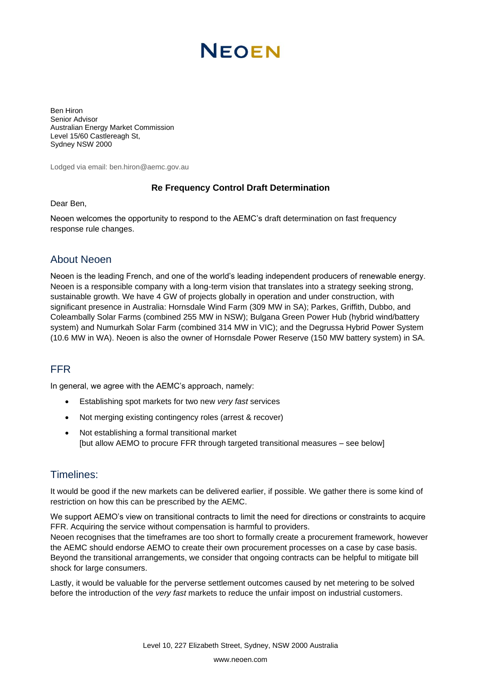# **NEOEN**

Ben Hiron Senior Advisor Australian Energy Market Commission Level 15/60 Castlereagh St, Sydney NSW 2000

Lodged via email: ben.hiron@aemc.gov.au

#### **Re Frequency Control Draft Determination**

Dear Ben,

Neoen welcomes the opportunity to respond to the AEMC's draft determination on fast frequency response rule changes.

### About Neoen

Neoen is the leading French, and one of the world's leading independent producers of renewable energy. Neoen is a responsible company with a long-term vision that translates into a strategy seeking strong, sustainable growth. We have 4 GW of projects globally in operation and under construction, with significant presence in Australia: Hornsdale Wind Farm (309 MW in SA); Parkes, Griffith, Dubbo, and Coleambally Solar Farms (combined 255 MW in NSW); Bulgana Green Power Hub (hybrid wind/battery system) and Numurkah Solar Farm (combined 314 MW in VIC); and the Degrussa Hybrid Power System (10.6 MW in WA). Neoen is also the owner of Hornsdale Power Reserve (150 MW battery system) in SA.

## FFR

In general, we agree with the AEMC's approach, namely:

- Establishing spot markets for two new *very fast* services
- Not merging existing contingency roles (arrest & recover)
- Not establishing a formal transitional market [but allow AEMO to procure FFR through targeted transitional measures – see below]

### Timelines:

It would be good if the new markets can be delivered earlier, if possible. We gather there is some kind of restriction on how this can be prescribed by the AEMC.

We support AEMO's view on transitional contracts to limit the need for directions or constraints to acquire FFR. Acquiring the service without compensation is harmful to providers.

Neoen recognises that the timeframes are too short to formally create a procurement framework, however the AEMC should endorse AEMO to create their own procurement processes on a case by case basis. Beyond the transitional arrangements, we consider that ongoing contracts can be helpful to mitigate bill shock for large consumers.

Lastly, it would be valuable for the perverse settlement outcomes caused by net metering to be solved before the introduction of the *very fast* markets to reduce the unfair impost on industrial customers.